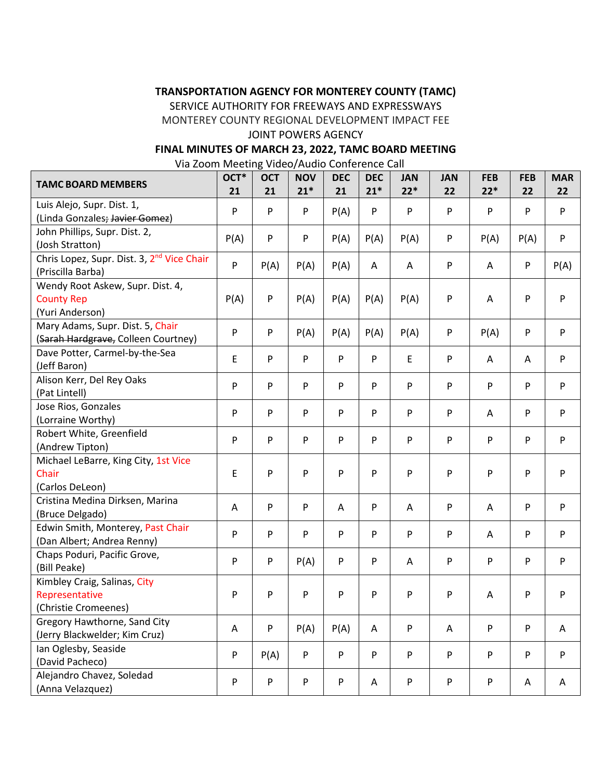# **TRANSPORTATION AGENCY FOR MONTEREY COUNTY (TAMC)**

SERVICE AUTHORITY FOR FREEWAYS AND EXPRESSWAYS

MONTEREY COUNTY REGIONAL DEVELOPMENT IMPACT FEE

# JOINT POWERS AGENCY

## **FINAL MINUTES OF MARCH 23, 2022, TAMC BOARD MEETING**

Via Zoom Meeting Video/Audio Conference Call

| <b>TAMC BOARD MEMBERS</b>                                                   | OCT*<br>21 | <b>OCT</b><br>21          | <b>NOV</b><br>$21*$ | <b>DEC</b><br>21 | <b>DEC</b><br>$21*$ | <b>JAN</b><br>$22*$ | <b>JAN</b><br>22 | <b>FEB</b><br>$22*$ | <b>FEB</b><br>22          | <b>MAR</b><br>22 |
|-----------------------------------------------------------------------------|------------|---------------------------|---------------------|------------------|---------------------|---------------------|------------------|---------------------|---------------------------|------------------|
| Luis Alejo, Supr. Dist. 1,<br>(Linda Gonzales; Javier Gomez)                | P          | ${\sf P}$                 | P                   | P(A)             | P                   | P                   | P                | P                   | P                         | P                |
| John Phillips, Supr. Dist. 2,<br>(Josh Stratton)                            | P(A)       | P                         | P                   | P(A)             | P(A)                | P(A)                | P                | P(A)                | P(A)                      | P                |
| Chris Lopez, Supr. Dist. 3, 2 <sup>nd</sup> Vice Chair<br>(Priscilla Barba) | P          | P(A)                      | P(A)                | P(A)             | A                   | A                   | P                | A                   | ${\sf P}$                 | P(A)             |
| Wendy Root Askew, Supr. Dist. 4,<br><b>County Rep</b><br>(Yuri Anderson)    | P(A)       | P                         | P(A)                | P(A)             | P(A)                | P(A)                | P                | Α                   | P                         | P                |
| Mary Adams, Supr. Dist. 5, Chair<br>(Sarah Hardgrave, Colleen Courtney)     | P          | P                         | P(A)                | P(A)             | P(A)                | P(A)                | P                | P(A)                | $\boldsymbol{\mathsf{P}}$ | P                |
| Dave Potter, Carmel-by-the-Sea<br>(Jeff Baron)                              | E          | $\boldsymbol{\mathsf{P}}$ | P                   | P                | P                   | E                   | P                | A                   | A                         | P                |
| Alison Kerr, Del Rey Oaks<br>(Pat Lintell)                                  | P          | ${\sf P}$                 | ${\sf P}$           | P                | P                   | P                   | P                | P                   | $\boldsymbol{\mathsf{P}}$ | P                |
| Jose Rios, Gonzales<br>(Lorraine Worthy)                                    | P          | ${\sf P}$                 | P                   | P                | P                   | P                   | P                | Α                   | $\boldsymbol{\mathsf{P}}$ | P                |
| Robert White, Greenfield<br>(Andrew Tipton)                                 | P          | $\boldsymbol{\mathsf{P}}$ | P                   | P                | P                   | P                   | P                | P                   | $\boldsymbol{\mathsf{P}}$ | P                |
| Michael LeBarre, King City, 1st Vice<br>Chair<br>(Carlos DeLeon)            | E          | P                         | P                   | P                | P                   | P                   | P                | P                   | P                         | P                |
| Cristina Medina Dirksen, Marina<br>(Bruce Delgado)                          | Α          | P                         | P                   | A                | P                   | Α                   | P                | Α                   | P                         | P                |
| Edwin Smith, Monterey, Past Chair<br>(Dan Albert; Andrea Renny)             | P          | P                         | P                   | P                | P                   | ${\sf P}$           | P                | A                   | P                         | P                |
| Chaps Poduri, Pacific Grove,<br>(Bill Peake)                                | P          | P                         | P(A)                | P                | P                   | Α                   | P                | P                   | ${\sf P}$                 | P                |
| Kimbley Craig, Salinas, City<br>Representative<br>(Christie Cromeenes)      | P          | P                         | P                   | P                | P                   | P                   | P                | Α                   | P                         | P                |
| Gregory Hawthorne, Sand City<br>(Jerry Blackwelder; Kim Cruz)               | Α          | P                         | P(A)                | P(A)             | A                   | P                   | A                | P                   | P                         | Α                |
| Ian Oglesby, Seaside<br>(David Pacheco)                                     | P          | P(A)                      | P                   | P                | P                   | ${\sf P}$           | P                | P                   | ${\sf P}$                 | P                |
| Alejandro Chavez, Soledad<br>(Anna Velazquez)                               | P          | ${\sf P}$                 | P                   | P                | A                   | P                   | P                | P                   | Α                         | Α                |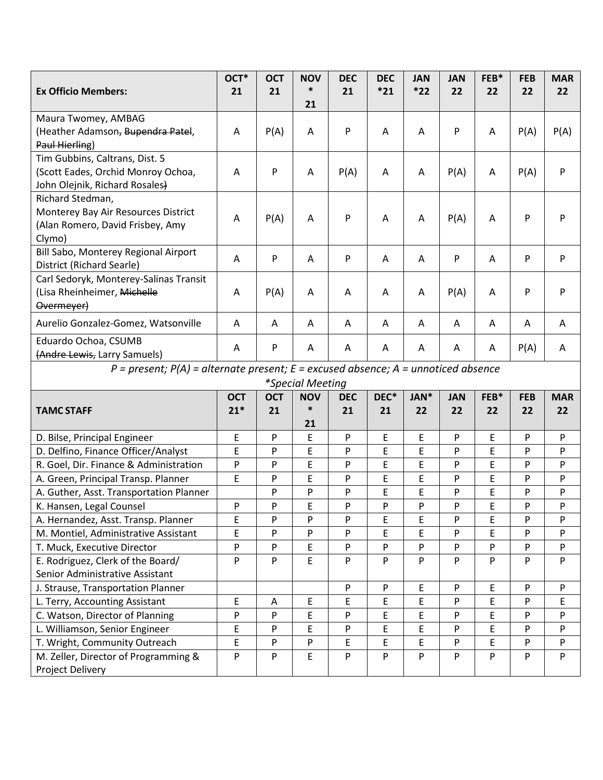|                                                                                               | OCT*                | <b>OCT</b>       | <b>NOV</b>      | <b>DEC</b>                | <b>DEC</b> | <b>JAN</b> | <b>JAN</b>       | FEB*       | <b>FEB</b>       | <b>MAR</b>       |
|-----------------------------------------------------------------------------------------------|---------------------|------------------|-----------------|---------------------------|------------|------------|------------------|------------|------------------|------------------|
| <b>Ex Officio Members:</b>                                                                    | 21                  | 21               | ∗<br>21         | 21                        | $*21$      | $*22$      | 22               | 22         | 22               | 22               |
| Maura Twomey, AMBAG                                                                           |                     |                  |                 |                           |            |            |                  |            |                  |                  |
| (Heather Adamson, Bupendra Patel,                                                             | A                   | P(A)             | A               | P                         | A          | A          | P                | A          | P(A)             | P(A)             |
| Paul Hierling)                                                                                |                     |                  |                 |                           |            |            |                  |            |                  |                  |
| Tim Gubbins, Caltrans, Dist. 5                                                                |                     |                  |                 |                           |            |            |                  |            |                  |                  |
| (Scott Eades, Orchid Monroy Ochoa,                                                            | A                   | P                | A               | P(A)                      | Α          | A          | P(A)             | A          | P(A)             | P                |
| John Olejnik, Richard Rosales)                                                                |                     |                  |                 |                           |            |            |                  |            |                  |                  |
| Richard Stedman,                                                                              |                     |                  |                 |                           |            |            |                  |            |                  |                  |
| Monterey Bay Air Resources District                                                           | Α                   | P(A)             | Α               | P                         | A          | A          | P(A)             | A          | P                | P                |
| (Alan Romero, David Frisbey, Amy                                                              |                     |                  |                 |                           |            |            |                  |            |                  |                  |
| Clymo)                                                                                        |                     |                  |                 |                           |            |            |                  |            |                  |                  |
| Bill Sabo, Monterey Regional Airport                                                          | Α                   | P                | A               | P                         | Α          | A          | P                | A          | P                | P                |
| District (Richard Searle)                                                                     |                     |                  |                 |                           |            |            |                  |            |                  |                  |
| Carl Sedoryk, Monterey-Salinas Transit<br>(Lisa Rheinheimer, Michelle                         | A                   | P(A)             | A               | A                         | Α          | A          | P(A)             | A          | P                | P                |
| Overmeyer)                                                                                    |                     |                  |                 |                           |            |            |                  |            |                  |                  |
|                                                                                               |                     |                  |                 |                           |            |            |                  |            |                  |                  |
| Aurelio Gonzalez-Gomez, Watsonville                                                           | A                   | Α                | A               | A                         | A          | A          | A                | A          | A                | A                |
| Eduardo Ochoa, CSUMB                                                                          | A                   | P                | A               | A                         | A          | A          | A                | A          | P(A)             | A                |
| (Andre Lewis, Larry Samuels)                                                                  |                     |                  |                 |                           |            |            |                  |            |                  |                  |
| $P = present$ ; $P(A) = alternate present$ ; $E = excused absence$ ; $A = un noticed absence$ |                     |                  |                 |                           |            |            |                  |            |                  |                  |
| *Special Meeting                                                                              |                     |                  |                 |                           |            |            |                  |            |                  |                  |
|                                                                                               | <b>OCT</b><br>$21*$ | <b>OCT</b><br>21 | <b>NOV</b><br>∗ | <b>DEC</b><br>21          | DEC*<br>21 | JAN*<br>22 | <b>JAN</b><br>22 | FEB*<br>22 | <b>FEB</b><br>22 | <b>MAR</b><br>22 |
| <b>TAMC STAFF</b>                                                                             |                     |                  | 21              |                           |            |            |                  |            |                  |                  |
| D. Bilse, Principal Engineer                                                                  | E                   | P                | E               | P                         | E          | E          | P                | E          | P                | P                |
| D. Delfino, Finance Officer/Analyst                                                           | E                   | P                | E               | P                         | E          | E          | P                | E          | P                | P                |
| R. Goel, Dir. Finance & Administration                                                        | P                   | P                | E               | P                         | E          | E          | P                | E          | P                | P                |
| A. Green, Principal Transp. Planner                                                           | E                   | P                | E               | P                         | E          | E          | P                | E          | P                | P                |
| A. Guther, Asst. Transportation Planner                                                       |                     | P                | P               | P                         | E          | E          | P                | E          | P                | P                |
| K. Hansen, Legal Counsel                                                                      | P                   | P                | E               | P                         | P          | P          | P                | E          | P                | P                |
| A. Hernandez, Asst. Transp. Planner                                                           | E                   | P                | P               | P                         | E          | E          | P                | E          | P                | P                |
| M. Montiel, Administrative Assistant                                                          | E                   | P                | P               | P                         | E          | E          | P                | E          | P                | P                |
| T. Muck, Executive Director                                                                   | P                   | P                | E               | $\boldsymbol{\mathsf{P}}$ | P          | P          | P                | P          | P                | P                |
| E. Rodriguez, Clerk of the Board/                                                             | P                   | P                | E               | P                         | P          | P          | P                | P          | P                | P                |
| Senior Administrative Assistant                                                               |                     |                  |                 |                           |            |            |                  |            |                  |                  |
| J. Strause, Transportation Planner                                                            |                     |                  |                 | P                         | P          | E          | P                | E          | P                | P                |
| L. Terry, Accounting Assistant                                                                | E                   | Α                | E               | E                         | E          | E          | P                | E          | P                | E                |
| C. Watson, Director of Planning                                                               |                     |                  |                 |                           |            |            |                  |            |                  |                  |
|                                                                                               | P                   | ${\sf P}$        | E               | P                         | E          | E          | P                | E          | P                | P                |
| L. Williamson, Senior Engineer                                                                | E                   | P                | E               | $\boldsymbol{\mathsf{P}}$ | E          | E          | P                | E          | P                | P                |
| T. Wright, Community Outreach                                                                 | E                   | P                | P               | E                         | E          | E          | P                | E          | P                | P                |
| M. Zeller, Director of Programming &<br>Project Delivery                                      | P                   | P                | E               | P                         | P          | P          | P.               | P          | P                | P                |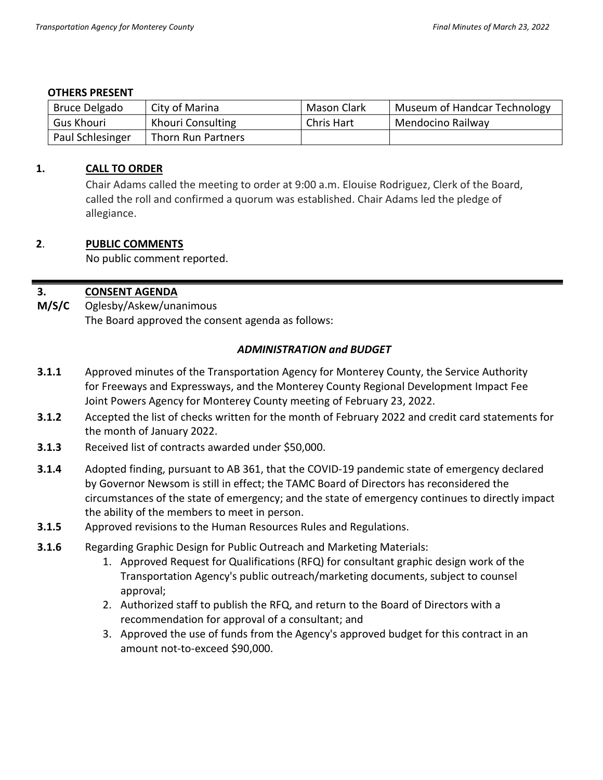### **OTHERS PRESENT**

| Bruce Delgado     | City of Marina     | Mason Clark | Museum of Handcar Technology |
|-------------------|--------------------|-------------|------------------------------|
| <b>Gus Khouri</b> | Khouri Consulting  | Chris Hart  | Mendocino Railway            |
| Paul Schlesinger  | Thorn Run Partners |             |                              |

# **1. CALL TO ORDER**

Chair Adams called the meeting to order at 9:00 a.m. Elouise Rodriguez, Clerk of the Board, called the roll and confirmed a quorum was established. Chair Adams led the pledge of allegiance.

# **2**. **PUBLIC COMMENTS**

No public comment reported.

#### **3. CONSENT AGENDA**

**M/S/C**  Oglesby/Askew/unanimous The Board approved the consent agenda as follows:

# *ADMINISTRATION and BUDGET*

- **3.1.1** Approved minutes of the Transportation Agency for Monterey County, the Service Authority for Freeways and Expressways, and the Monterey County Regional Development Impact Fee Joint Powers Agency for Monterey County meeting of February 23, 2022.
- **3.1.2** Accepted the list of checks written for the month of February 2022 and credit card statements for the month of January 2022.
- **3.1.3** Received list of contracts awarded under \$50,000.
- **3.1.4** Adopted finding, pursuant to AB 361, that the COVID-19 pandemic state of emergency declared by Governor Newsom is still in effect; the TAMC Board of Directors has reconsidered the circumstances of the state of emergency; and the state of emergency continues to directly impact the ability of the members to meet in person.
- **3.1.5** Approved revisions to the Human Resources Rules and Regulations.
- **3.1.6** Regarding Graphic Design for Public Outreach and Marketing Materials:
	- 1. Approved Request for Qualifications (RFQ) for consultant graphic design work of the Transportation Agency's public outreach/marketing documents, subject to counsel approval;
	- 2. Authorized staff to publish the RFQ, and return to the Board of Directors with a recommendation for approval of a consultant; and
	- 3. Approved the use of funds from the Agency's approved budget for this contract in an amount not-to-exceed \$90,000.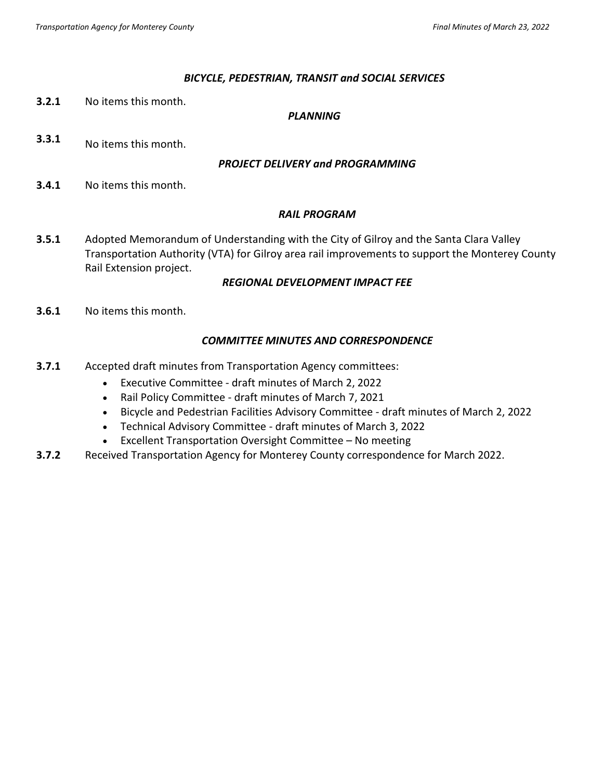## *BICYCLE, PEDESTRIAN, TRANSIT and SOCIAL SERVICES*

**3.2.1** No items this month.

### *PLANNING*

**3.3.1** No items this month.

## *PROJECT DELIVERY and PROGRAMMING*

**3.4.1** No items this month.

# *RAIL PROGRAM*

**3.5.1** Adopted Memorandum of Understanding with the City of Gilroy and the Santa Clara Valley Transportation Authority (VTA) for Gilroy area rail improvements to support the Monterey County Rail Extension project.

### *REGIONAL DEVELOPMENT IMPACT FEE*

**3.6.1** No items this month.

# *COMMITTEE MINUTES AND CORRESPONDENCE*

- **3.7.1** Accepted draft minutes from Transportation Agency committees:
	- Executive Committee draft minutes of March 2, 2022
	- Rail Policy Committee draft minutes of March 7, 2021
	- Bicycle and Pedestrian Facilities Advisory Committee draft minutes of March 2, 2022
	- Technical Advisory Committee draft minutes of March 3, 2022
	- Excellent Transportation Oversight Committee No meeting
- **3.7.2** Received Transportation Agency for Monterey County correspondence for March 2022.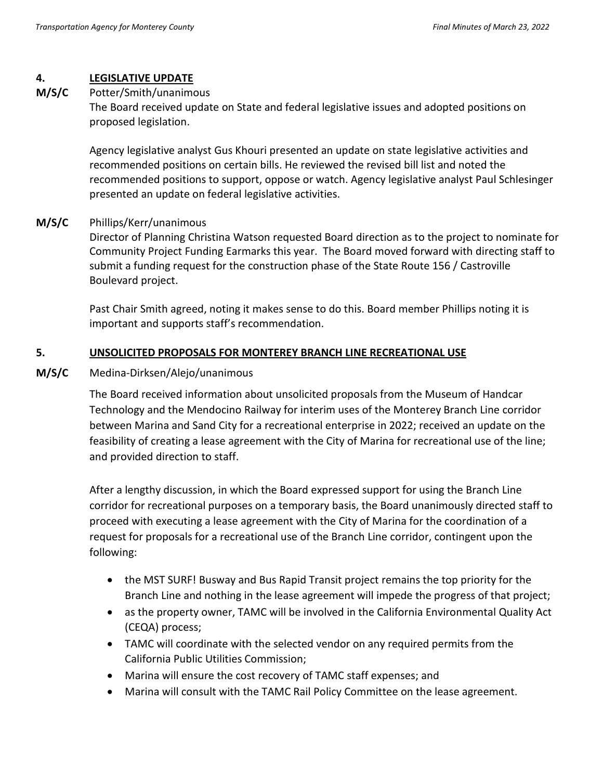# **4. LEGISLATIVE UPDATE**

#### **M/S/C** Potter/Smith/unanimous

The Board received update on State and federal legislative issues and adopted positions on proposed legislation.

Agency legislative analyst Gus Khouri presented an update on state legislative activities and recommended positions on certain bills. He reviewed the revised bill list and noted the recommended positions to support, oppose or watch. Agency legislative analyst Paul Schlesinger presented an update on federal legislative activities.

#### **M/S/C**  Phillips/Kerr/unanimous

Director of Planning Christina Watson requested Board direction as to the project to nominate for Community Project Funding Earmarks this year. The Board moved forward with directing staff to submit a funding request for the construction phase of the State Route 156 / Castroville Boulevard project.

Past Chair Smith agreed, noting it makes sense to do this. Board member Phillips noting it is important and supports staff's recommendation.

# **5. UNSOLICITED PROPOSALS FOR MONTEREY BRANCH LINE RECREATIONAL USE**

# **M/S/C** Medina-Dirksen/Alejo/unanimous

The Board received information about unsolicited proposals from the Museum of Handcar Technology and the Mendocino Railway for interim uses of the Monterey Branch Line corridor between Marina and Sand City for a recreational enterprise in 2022; received an update on the feasibility of creating a lease agreement with the City of Marina for recreational use of the line; and provided direction to staff.

After a lengthy discussion, in which the Board expressed support for using the Branch Line corridor for recreational purposes on a temporary basis, the Board unanimously directed staff to proceed with executing a lease agreement with the City of Marina for the coordination of a request for proposals for a recreational use of the Branch Line corridor, contingent upon the following:

- the MST SURF! Busway and Bus Rapid Transit project remains the top priority for the Branch Line and nothing in the lease agreement will impede the progress of that project;
- as the property owner, TAMC will be involved in the California Environmental Quality Act (CEQA) process;
- TAMC will coordinate with the selected vendor on any required permits from the California Public Utilities Commission;
- Marina will ensure the cost recovery of TAMC staff expenses; and
- Marina will consult with the TAMC Rail Policy Committee on the lease agreement.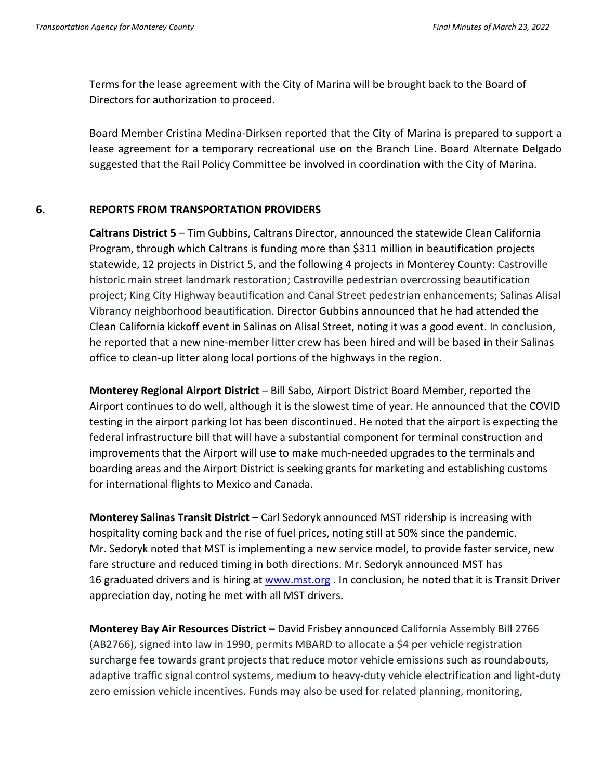Terms for the lease agreement with the City of Marina will be brought back to the Board of Directors for authorization to proceed.

Board Member Cristina Medina-Dirksen reported that the City of Marina is prepared to support a lease agreement for a temporary recreational use on the Branch Line. Board Alternate Delgado suggested that the Rail Policy Committee be involved in coordination with the City of Marina.

### **6. REPORTS FROM TRANSPORTATION PROVIDERS**

**Caltrans District 5** – Tim Gubbins, Caltrans Director, announced the statewide Clean California Program, through which Caltrans is funding more than \$311 million in beautification projects statewide, 12 projects in District 5, and the following 4 projects in Monterey County: Castroville historic main street landmark restoration; Castroville pedestrian overcrossing beautification project; King City Highway beautification and Canal Street pedestrian enhancements; Salinas Alisal Vibrancy neighborhood beautification. Director Gubbins announced that he had attended the Clean California kickoff event in Salinas on Alisal Street, noting it was a good event. In conclusion, he reported that a new nine-member litter crew has been hired and will be based in their Salinas office to clean-up litter along local portions of the highways in the region.

**Monterey Regional Airport District** – Bill Sabo, Airport District Board Member, reported the Airport continues to do well, although it is the slowest time of year. He announced that the COVID testing in the airport parking lot has been discontinued. He noted that the airport is expecting the federal infrastructure bill that will have a substantial component for terminal construction and improvements that the Airport will use to make much-needed upgrades to the terminals and boarding areas and the Airport District is seeking grants for marketing and establishing customs for international flights to Mexico and Canada.

**Monterey Salinas Transit District –** Carl Sedoryk announced MST ridership is increasing with hospitality coming back and the rise of fuel prices, noting still at 50% since the pandemic. Mr. Sedoryk noted that MST is implementing a new service model, to provide faster service, new fare structure and reduced timing in both directions. Mr. Sedoryk announced MST has 16 graduated drivers and is hiring at [www.mst.org](http://www.mst.org/) . In conclusion, he noted that it is Transit Driver appreciation day, noting he met with all MST drivers.

**Monterey Bay Air Resources District –** David Frisbey announced California Assembly Bill 2766 (AB2766), signed into law in 1990, permits MBARD to allocate a \$4 per vehicle registration surcharge fee towards grant projects that reduce motor vehicle emissions such as roundabouts, adaptive traffic signal control systems, medium to heavy-duty vehicle electrification and light-duty zero emission vehicle incentives. Funds may also be used for related planning, monitoring,